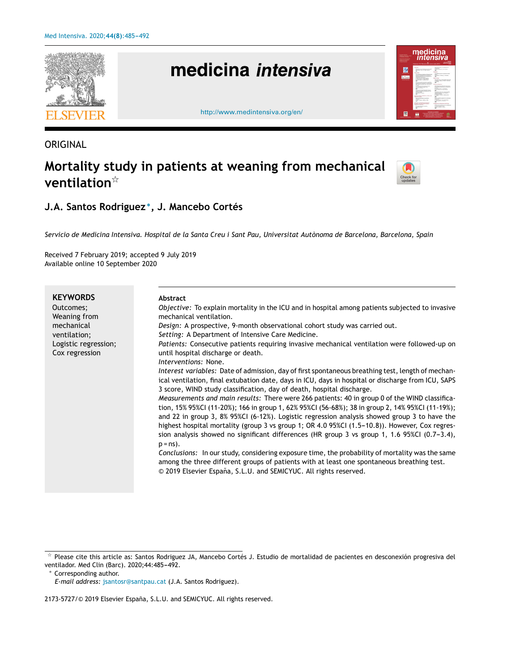

# **ORIGINAL**

# **Mortality study in patients at weaning from mechanical ventilation**-



# **J.A. Santos Rodriguez** <sup>∗</sup> **, J. Mancebo Cortés**

Servicio de Medicina Intensiva. Hospital de la Santa Creu i Sant Pau, Universitat Autònoma de Barcelona, Barcelona, Spain

Received 7 February 2019; accepted 9 July 2019 Available online 10 September 2020

| <b>KEYWORDS</b><br>Outcomes:<br>Weaning from<br>mechanical<br>ventilation;<br>Logistic regression;<br>Cox regression | Abstract<br><i>Objective:</i> To explain mortality in the ICU and in hospital among patients subjected to invasive<br>mechanical ventilation.<br>Design: A prospective, 9-month observational cohort study was carried out.<br>Setting: A Department of Intensive Care Medicine.<br>Patients: Consecutive patients requiring invasive mechanical ventilation were followed-up on<br>until hospital discharge or death.<br>Interventions: None.<br>Interest variables: Date of admission, day of first spontaneous breathing test, length of mechan-<br>ical ventilation, final extubation date, days in ICU, days in hospital or discharge from ICU, SAPS<br>3 score, WIND study classification, day of death, hospital discharge.<br>Measurements and main results: There were 266 patients: 40 in group 0 of the WIND classifica-<br>tion, 15% 95%CI (11-20%); 166 in group 1, 62% 95%CI (56-68%); 38 in group 2, 14% 95%CI (11-19%);<br>and 22 in group 3, 8% 95%CI (6-12%). Logistic regression analysis showed group 3 to have the<br>highest hospital mortality (group 3 vs group 1; OR 4.0 95%CI (1.5-10.8)). However, Cox regres-<br>sion analysis showed no significant differences (HR group 3 vs group 1, 1.6 95%CI (0.7-3.4),<br>$p = ns$ ).<br>Conclusions: In our study, considering exposure time, the probability of mortality was the same<br>among the three different groups of patients with at least one spontaneous breathing test.<br>© 2019 Elsevier España, S.L.U. and SEMICYUC. All rights reserved. |
|----------------------------------------------------------------------------------------------------------------------|--------------------------------------------------------------------------------------------------------------------------------------------------------------------------------------------------------------------------------------------------------------------------------------------------------------------------------------------------------------------------------------------------------------------------------------------------------------------------------------------------------------------------------------------------------------------------------------------------------------------------------------------------------------------------------------------------------------------------------------------------------------------------------------------------------------------------------------------------------------------------------------------------------------------------------------------------------------------------------------------------------------------------------------------------------------------------------------------------------------------------------------------------------------------------------------------------------------------------------------------------------------------------------------------------------------------------------------------------------------------------------------------------------------------------------------------------------------------------------------------------------------------------------|
|                                                                                                                      |                                                                                                                                                                                                                                                                                                                                                                                                                                                                                                                                                                                                                                                                                                                                                                                                                                                                                                                                                                                                                                                                                                                                                                                                                                                                                                                                                                                                                                                                                                                                |

<sup>∗</sup> Corresponding author.

2173-5727/© 2019 Elsevier España, S.L.U. and SEMICYUC. All rights reserved.

 $\frac{1}{24}$  Please cite this article as: Santos Rodriguez JA, Mancebo Cortés J. Estudio de mortalidad de pacientes en desconexión progresiva del ventilador. Med Clin (Barc). 2020;44:485-492.

*E-mail address:* [jsantosr@santpau.cat](mailto:jsantosr@santpau.cat) (J.A. Santos Rodriguez).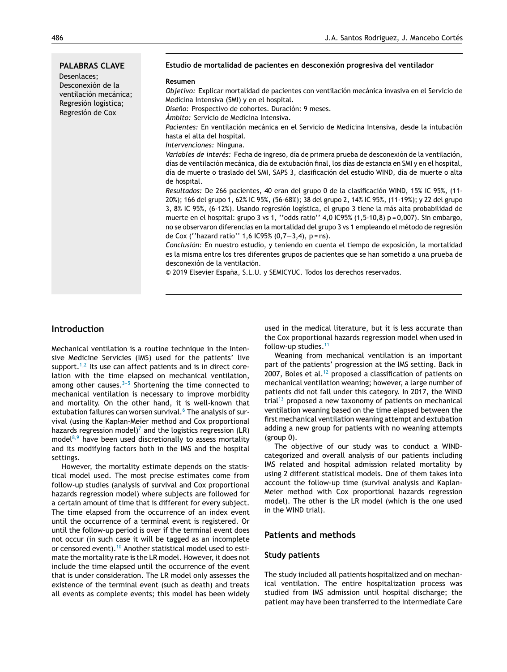| <b>PALABRAS CLAVE</b><br>Desenlaces;<br>Desconexión de la<br>ventilación mecánica;<br>Regresión logística;<br>Regresión de Cox | Estudio de mortalidad de pacientes en desconexión progresiva del ventilador<br>Resumen<br>Objetivo: Explicar mortalidad de pacientes con ventilación mecánica invasiva en el Servicio de<br>Medicina Intensiva (SMI) y en el hospital.<br>Diseño: Prospectivo de cohortes. Duración: 9 meses.<br>Ámbito: Servicio de Medicina Intensiva.<br>Pacientes: En ventilación mecánica en el Servicio de Medicina Intensiva, desde la intubación<br>hasta el alta del hospital.<br>Intervenciones: Ninguna.<br>Variables de interés: Fecha de ingreso, día de primera prueba de desconexión de la ventilación,<br>días de ventilación mecánica, día de extubación final, los días de estancia en SMI y en el hospital,<br>día de muerte o traslado del SMI, SAPS 3, clasificación del estudio WIND, día de muerte o alta<br>de hospital.<br>Resultados: De 266 pacientes, 40 eran del grupo 0 de la clasificación WIND, 15% IC 95%, (11-<br>20%); 166 del grupo 1, 62% IC 95%, (56-68%); 38 del grupo 2, 14% IC 95%, (11-19%); y 22 del grupo<br>3, 8% IC 95%, (6-12%). Usando regresión logística, el grupo 3 tiene la más alta probabilidad de<br>muerte en el hospital: grupo 3 vs 1, "odds ratio" 4,0 IC95% (1,5-10,8) p = 0,007). Sin embargo,<br>no se observaron diferencias en la mortalidad del grupo 3 vs 1 empleando el método de regresión<br>de Cox ("hazard ratio" 1,6 IC95% $(0,7-3,4)$ , p = ns).<br>Conclusión: En nuestro estudio, y teniendo en cuenta el tiempo de exposición, la mortalidad<br>es la misma entre los tres diferentes grupos de pacientes que se han sometido a una prueba de<br>desconexión de la ventilación.<br>© 2019 Elsevier España, S.L.U. y SEMICYUC. Todos los derechos reservados. |
|--------------------------------------------------------------------------------------------------------------------------------|--------------------------------------------------------------------------------------------------------------------------------------------------------------------------------------------------------------------------------------------------------------------------------------------------------------------------------------------------------------------------------------------------------------------------------------------------------------------------------------------------------------------------------------------------------------------------------------------------------------------------------------------------------------------------------------------------------------------------------------------------------------------------------------------------------------------------------------------------------------------------------------------------------------------------------------------------------------------------------------------------------------------------------------------------------------------------------------------------------------------------------------------------------------------------------------------------------------------------------------------------------------------------------------------------------------------------------------------------------------------------------------------------------------------------------------------------------------------------------------------------------------------------------------------------------------------------------------------------------------------------------------------------------------------------------------------------------------------------|
|--------------------------------------------------------------------------------------------------------------------------------|--------------------------------------------------------------------------------------------------------------------------------------------------------------------------------------------------------------------------------------------------------------------------------------------------------------------------------------------------------------------------------------------------------------------------------------------------------------------------------------------------------------------------------------------------------------------------------------------------------------------------------------------------------------------------------------------------------------------------------------------------------------------------------------------------------------------------------------------------------------------------------------------------------------------------------------------------------------------------------------------------------------------------------------------------------------------------------------------------------------------------------------------------------------------------------------------------------------------------------------------------------------------------------------------------------------------------------------------------------------------------------------------------------------------------------------------------------------------------------------------------------------------------------------------------------------------------------------------------------------------------------------------------------------------------------------------------------------------------|

## **Introduction**

Mechanical ventilation is a routine technique in the Intensive Medicine Servicies (IMS) used for the patients' live support. $1,2$  Its use can affect patients and is in direct corelation with the time elapsed on mechanical ventilation, among other causes. $3-5$  Shortening the time connected to mechanical ventilation is necessary to improve morbidity and mortality. On the other hand, it is well-known that extubation failures can worsen survival.<sup>6</sup> [T](#page-7-0)he analysis of survival (using the Kaplan-Meier method and Cox proportional hazards regression model)<sup>[7](#page-7-0)</sup> and the logistics regression (LR) model $8,9$  have been used discretionally to assess mortality and its modifying factors both in the IMS and the hospital settings.

However, the mortality estimate depends on the statistical model used. The most precise estimates come from follow-up studies (analysis of survival and Cox proportional hazards regression model) where subjects are followed for a certain amount of time that is different for every subject. The time elapsed from the occurrence of an index event until the occurrence of a terminal event is registered. Or until the follow-up period is over if the terminal event does not occur (in such case it will be tagged as an incomplete or censored event).<sup>[10](#page-7-0)</sup> Another statistical model used to estimate the mortality rate is the LR model. However, it does not include the time elapsed until the occurrence of the event that is under consideration. The LR model only assesses the existence of the terminal event (such as death) and treats all events as complete events; this model has been widely used in the medical literature, but it is less accurate than the Cox proportional hazards regression model when used in follow-up studies.[11](#page-7-0)

Weaning from mechanical ventilation is an important part of the patients' progression at the IMS setting. Back in 2007, Boles et al. $12$  proposed a classification of patients on mechanical ventilation weaning; however, a large number of patients did not fall under this category. In 2017, the WIND trial<sup>[13](#page-7-0)</sup> proposed a new taxonomy of patients on mechanical ventilation weaning based on the time elapsed between the first mechanical ventilation weaning attempt and extubation adding a new group for patients with no weaning attempts (group 0).

The objective of our study was to conduct a WINDcategorized and overall analysis of our patients including IMS related and hospital admission related mortality by using 2 different statistical models. One of them takes into account the follow-up time (survival analysis and Kaplan-Meier method with Cox proportional hazards regression model). The other is the LR model (which is the one used in the WIND trial).

# **Patients and methods**

#### **Study patients**

The study included all patients hospitalized and on mechanical ventilation. The entire hospitalization process was studied from IMS admission until hospital discharge; the patient may have been transferred to the Intermediate Care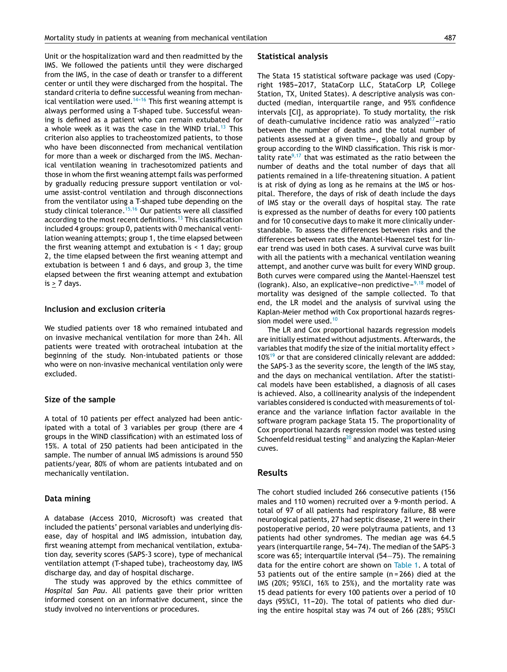Unit or the hospitalization ward and then readmitted by the IMS. We followed the patients until they were discharged from the IMS, in the case of death or transfer to a different center or until they were discharged from the hospital. The standard criteria to define successful weaning from mechanical ventilation were used.<sup>14-16</sup> This first weaning attempt is always performed using a T-shaped tube. Successful weaning is defined as a patient who can remain extubated for a whole week as it was the case in the WIND trial.<sup>[13](#page-7-0)</sup> This criterion also applies to tracheostomized patients, to those who have been disconnected from mechanical ventilation for more than a week or discharged from the IMS. Mechanical ventilation weaning in trachesotomized patients and those in whom the first weaning attempt fails was performed by gradually reducing pressure support ventilation or volume assist-control ventilation and through disconnections from the ventilator using a T-shaped tube depending on the study clinical tolerance.<sup>[15,16](#page-7-0)</sup> Our patients were all classified according to the most recent definitions.<sup>[13](#page-7-0)</sup> This classification included 4 groups: group 0, patients with 0 mechanical ventilation weaning attempts; group 1, the time elapsed between the first weaning attempt and extubation is  $\leq 1$  day; group 2, the time elapsed between the first weaning attempt and extubation is between 1 and 6 days, and group 3, the time elapsed between the first weaning attempt and extubation  $is > 7$  days.

#### **Inclusion and exclusion criteria**

We studied patients over 18 who remained intubated and on invasive mechanical ventilation for more than 24 h. All patients were treated with orotracheal intubation at the beginning of the study. Non-intubated patients or those who were on non-invasive mechanical ventilation only were excluded.

#### **Size of the sample**

A total of 10 patients per effect analyzed had been anticipated with a total of 3 variables per group (there are 4 groups in the WIND classification) with an estimated loss of 15%. A total of 250 patients had been anticipated in the sample. The number of annual IMS admissions is around 550 patients/year, 80% of whom are patients intubated and on mechanically ventilation.

#### **Data mining**

A database (Access 2010, Microsoft) was created that included the patients' personal variables and underlying disease, day of hospital and IMS admission, intubation day, first weaning attempt from mechanical ventilation, extubation day, severity scores (SAPS-3 score), type of mechanical ventilation attempt (T-shaped tube), tracheostomy day, IMS discharge day, and day of hospital discharge.

The study was approved by the ethics committee of *Hospital San Pau*. All patients gave their prior written informed consent on an informative document, since the study involved no interventions or procedures.

#### **Statistical analysis**

The Stata 15 statistical software package was used (Copyright 1985-2017, StataCorp LLC, StataCorp LP, College Station, TX, United States). A descriptive analysis was conducted (median, interquartile range, and 95% confidence intervals [CI], as appropriate). To study mortality, the risk of death-cumulative incidence ratio was analyzed<sup>17</sup>-ratio between the number of deaths and the total number of patients assessed at a given time-, globally and group by group according to the WIND classification. This risk is mor-tality rate<sup>[9,17](#page-7-0)</sup> that was estimated as the ratio between the number of deaths and the total number of days that all patients remained in a life-threatening situation. A patient is at risk of dying as long as he remains at the IMS or hospital. Therefore, the days of risk of death include the days of IMS stay or the overall days of hospital stay. The rate is expressed as the number of deaths for every 100 patients and for 10 consecutive days to make it more clinically understandable. To assess the differences between risks and the differences between rates the Mantel-Haenszel test for linear trend was used in both cases. A survival curve was built with all the patients with a mechanical ventilation weaning attempt, and another curve was built for every WIND group. Both curves were compared using the Mantel-Haenszel test (logrank). Also, an explicative-non predictive- $9,18$  model of mortality was designed of the sample collected. To that end, the LR model and the analysis of survival using the Kaplan-Meier method with Cox proportional hazards regres-sion model were used.<sup>[10](#page-7-0)</sup>

The LR and Cox proportional hazards regression models are initially estimated without adjustments. Afterwards, the variables that modify the size of the initial mortality effect > 10%<sup>[19](#page-7-0)</sup> or that are considered clinically relevant are addded: the SAPS-3 as the severity score, the length of the IMS stay, and the days on mechanical ventilation. After the statistical models have been established, a diagnosis of all cases is achieved. Also, a collinearity analysis of the independent variables considered is conducted with measurements of tolerance and the variance inflation factor available in the software program package Stata 15. The proportionality of Cox proportional hazards regression model was tested using Schoenfeld residual testing $^{20}$  $^{20}$  $^{20}$  and analyzing the Kaplan-Meier cuves.

#### **Results**

The cohort studied included 266 consecutive patients (156 males and 110 women) recruited over a 9-month period. A total of 97 of all patients had respiratory failure, 88 were neurological patients, 27 had septic disease, 21 were in their postoperative period, 20 were polytrauma patients, and 13 patients had other syndromes. The median age was 64.5 years (interquartile range, 54-74). The median of the SAPS-3 score was 65; interquartile interval (54−75). The remaining data for the entire cohort are shown on [Table](#page-3-0) 1. A total of 53 patients out of the entire sample (n = 266) died at the IMS (20%; 95%CI, 16% to 25%), and the mortality rate was 15 dead patients for every 100 patients over a period of 10 days (95%CI, 11-20). The total of patients who died during the entire hospital stay was 74 out of 266 (28%; 95%CI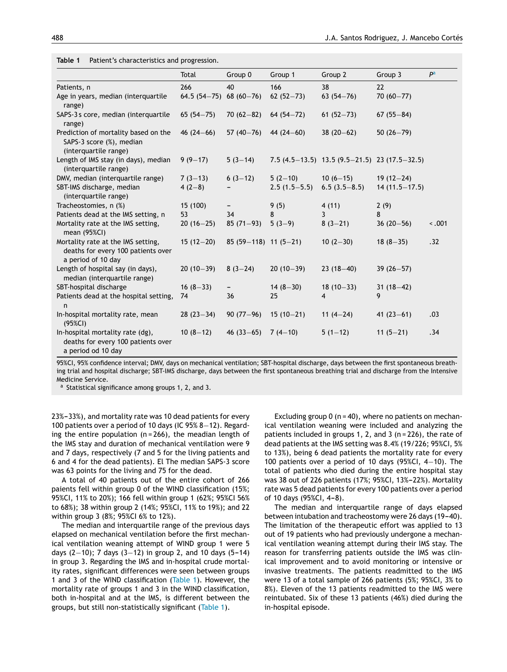<span id="page-3-0"></span>**Table 1** Patient's characteristics and progression.

|                                                                                                | Total           | Group 0                  | Group 1        | Group 2                                             | Group 3           | P <sup>a</sup> |
|------------------------------------------------------------------------------------------------|-----------------|--------------------------|----------------|-----------------------------------------------------|-------------------|----------------|
| Patients, n                                                                                    | 266             | 40                       | 166            | 38                                                  | 22                |                |
| Age in years, median (interquartile<br>range)                                                  | $64.5(54 - 75)$ | $68(60 - 76)$            | $62(52-73)$    | $63(54 - 76)$                                       | $70(60 - 77)$     |                |
| SAPS-3s core, median (interquartile<br>range)                                                  | $65(54 - 75)$   | $70(62 - 82)$            | $64(54 - 72)$  | $61(52 - 73)$                                       | $67(55 - 84)$     |                |
| Prediction of mortality based on the<br>SAPS-3 score (%), median<br>(interquartile range)      | $46(24-66)$     | $57(40 - 76)$            | $44(24-60)$    | $38(20-62)$                                         | $50(26 - 79)$     |                |
| Length of IMS stay (in days), median<br>(interquartile range)                                  | $9(9-17)$       | $5(3-14)$                |                | 7.5 $(4.5-13.5)$ 13.5 $(9.5-21.5)$ 23 $(17.5-32.5)$ |                   |                |
| DMV, median (interquartile range)                                                              | $7(3-13)$       | $6(3-12)$                | $5(2-10)$      | $10(6-15)$                                          | $19(12-24)$       |                |
| SBT-IMS discharge, median<br>(interquartile range)                                             | $4(2-8)$        |                          | $2.5(1.5-5.5)$ | $6.5(3.5-8.5)$                                      | $14(11.5 - 17.5)$ |                |
| Tracheostomies, n (%)                                                                          | 15 (100)        | $\overline{\phantom{a}}$ | 9(5)           | 4(11)                                               | 2(9)              |                |
| Patients dead at the IMS setting, n                                                            | 53              | 34                       | 8              | 3                                                   | 8                 |                |
| Mortality rate at the IMS setting,<br>mean (95%CI)                                             | $20(16-25)$     | $85(71-93)$              | $5(3-9)$       | $8(3-21)$                                           | $36(20-56)$       | 3.001          |
| Mortality rate at the IMS setting,<br>deaths for every 100 patients over<br>a period of 10 day | $15(12-20)$     | $85(59-118)$ 11 (5-21)   |                | $10(2-30)$                                          | $18(8-35)$        | .32            |
| Length of hospital say (in days),<br>median (interquartile range)                              | $20(10-39)$     | $8(3-24)$                | $20(10-39)$    | $23(18-40)$                                         | $39(26 - 57)$     |                |
| SBT-hospital discharge                                                                         | $16(8-33)$      | -                        | $14(8-30)$     | $18(10-33)$                                         | $31(18-42)$       |                |
| Patients dead at the hospital setting,<br>n                                                    | 74              | 36                       | 25             | $\overline{4}$                                      | 9                 |                |
| In-hospital mortality rate, mean<br>$(95\%CI)$                                                 | $28(23-34)$     | $90(77-96)$              | $15(10-21)$    | 11 $(4-24)$                                         | 41 $(23-61)$      | .03            |
| In-hospital mortality rate (dg),<br>deaths for every 100 patients over<br>a period od 10 day   | $10(8-12)$      | $46(33-65)$              | $7(4-10)$      | $5(1-12)$                                           | $11(5-21)$        | .34            |

95%CI, 95% confidence interval; DMV, days on mechanical ventilation; SBT-hospital discharge, days between the first spontaneous breathing trial and hospital discharge; SBT-IMS discharge, days between the first spontaneous breathing trial and discharge from the Intensive Medicine Service.

<sup>a</sup> Statistical significance among groups 1, 2, and 3.

23%-33%), and mortality rate was 10 dead patients for every 100 patients over a period of 10 days (IC 95% 8−12). Regarding the entire population  $(n = 266)$ , the meadian length of the IMS stay and duration of mechanical ventilation were 9 and 7 days, respectively (7 and 5 for the living patients and 6 and 4 for the dead patients). El The median SAPS-3 score was 63 points for the living and 75 for the dead.

A total of 40 patients out of the entire cohort of 266 paients fell within group 0 of the WIND classification (15%; 95%CI, 11% to 20%); 166 fell within group 1 (62%; 95%CI 56% to 68%); 38 within group 2 (14%; 95%CI, 11% to 19%); and 22 within group 3 (8%; 95%CI 6% to 12%).

The median and interquartile range of the previous days elapsed on mechanical ventilation before the first mechanical ventilation weaning attempt of WIND group 1 were 5 days (2–10); 7 days (3–12) in group 2, and 10 days (5–14) in group 3. Regarding the IMS and in-hospital crude mortality rates, significant differences were seen between groups 1 and 3 of the WIND classification (Table 1). However, the mortality rate of groups 1 and 3 in the WIND classification, both in-hospital and at the IMS, is different between the groups, but still non-statistically significant (Table 1).

Excluding group  $0$  (n = 40), where no patients on mechanical ventilation weaning were included and analyzing the patients included in groups 1, 2, and 3 (n = 226), the rate of dead patients at the IMS setting was 8.4% (19/226; 95%CI, 5% to 13%), being 6 dead patients the mortality rate for every 100 patients over a period of 10 days (95%CI, 4−10). The total of patients who died during the entire hospital stay was 38 out of 226 patients (17%; 95%CI, 13%-22%). Mortality rate was 5 dead patients for every 100 patients over a period of 10 days (95%CI, 4-8).

The median and interquartile range of days elapsed between intubation and tracheostomy were 26 days (19-40). The limitation of the therapeutic effort was applied to 13 out of 19 patients who had previously undergone a mechanical ventilation weaning attempt during their IMS stay. The reason for transferring patients outside the IMS was clinical improvement and to avoid monitoring or intensive or invasive treatments. The patients readmitted to the IMS were 13 of a total sample of 266 patients (5%; 95%CI, 3% to 8%). Eleven of the 13 patients readmitted to the IMS were reintubated. Six of these 13 patients (46%) died during the in-hospital episode.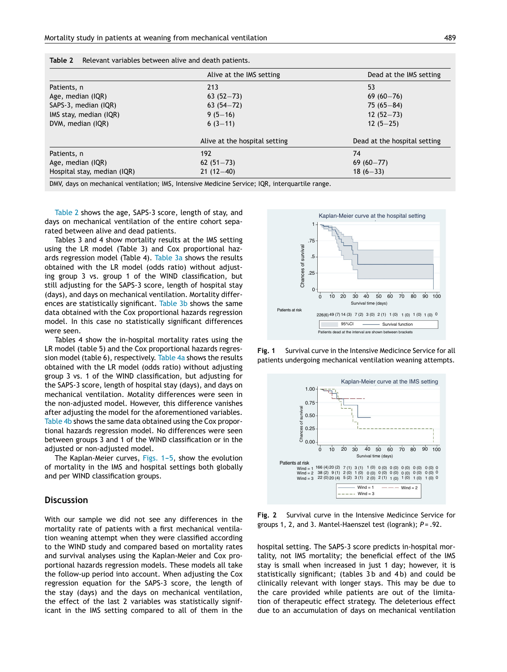|                             | Alive at the IMS setting      | Dead at the IMS setting      |
|-----------------------------|-------------------------------|------------------------------|
| Patients, n                 | 213                           | 53                           |
| Age, median (IQR)           | $63(52 - 73)$                 | $69(60 - 76)$                |
| SAPS-3, median (IQR)        | $63(54 - 72)$                 | $75(65 - 84)$                |
| IMS stay, median (IQR)      | $9(5-16)$                     | $12(52 - 73)$                |
| DVM, median (IQR)           | $6(3-11)$                     | $12(5-25)$                   |
|                             | Alive at the hospital setting | Dead at the hospital setting |
| Patients, n                 | 192                           | 74                           |
| Age, median (IQR)           | $62(51 - 73)$                 | $69(60 - 77)$                |
| Hospital stay, median (IQR) | $21(12-40)$                   | $18(6 - 33)$                 |

**Table 2** Relevant variables between alive and death patients.

DMV, days on mechanical ventilation; IMS, Intensive Medicine Service; IQR, interquartile range.

Table 2 shows the age, SAPS-3 score, length of stay, and days on mechanical ventilation of the entire cohort separated between alive and dead patients.

Tables 3 and 4 show mortality results at the IMS setting using the LR model (Table 3) and Cox proportional hazards regression model (Table 4). [Table](#page-5-0) 3a shows the results obtained with the LR model (odds ratio) without adjusting group 3 vs. group 1 of the WIND classification, but still adjusting for the SAPS-3 score, length of hospital stay (days), and days on mechanical ventilation. Mortality differences are statistically significant. [Table](#page-5-0) 3b shows the same data obtained with the Cox proportional hazards regression model. In this case no statistically significant differences were seen.

Tables 4 show the in-hospital mortality rates using the LR model (table 5) and the Cox proportional hazards regres-sion model (table 6), respectively. [Table](#page-5-0) 4a shows the results obtained with the LR model (odds ratio) without adjusting group 3 vs. 1 of the WIND classification, but adjusting for the SAPS-3 score, length of hospital stay (days), and days on mechanical ventilation. Motality differences were seen in the non-adjusted model. However, this difference vanishes after adjusting the model for the aforementioned variables. [Table](#page-5-0) 4b shows the same data obtained using the Cox proportional hazards regression model. No differences were seen between groups 3 and 1 of the WIND classification or in the adjusted or non-adjusted model.

The Kaplan-Meier curves, Figs.  $1-5$ , show the evolution of mortality in the IMS and hospital settings both globally and per WIND classification groups.

#### **Discussion**

With our sample we did not see any differences in the mortality rate of patients with a first mechanical ventilation weaning attempt when they were classified according to the WIND study and compared based on mortality rates and survival analyses using the Kaplan-Meier and Cox proportional hazards regression models. These models all take the follow-up period into account. When adjusting the Cox regression equation for the SAPS-3 score, the length of the stay (days) and the days on mechanical ventilation, the effect of the last 2 variables was statistically significant in the IMS setting compared to all of them in the







**Fig. 2** Survival curve in the Intensive Medicince Service for groups 1, 2, and 3. Mantel-Haenszel test (logrank); *P* = .92.

hospital setting. The SAPS-3 score predicts in-hospital mortality, not IMS mortality; the beneficial effect of the IMS stay is small when increased in just 1 day; however, it is statistically significant; (tables 3b and 4b) and could be clinically relevant with longer stays. This may be due to the care provided while patients are out of the limitation of therapeutic effect strategy. The deleterious effect due to an accumulation of days on mechanical ventilation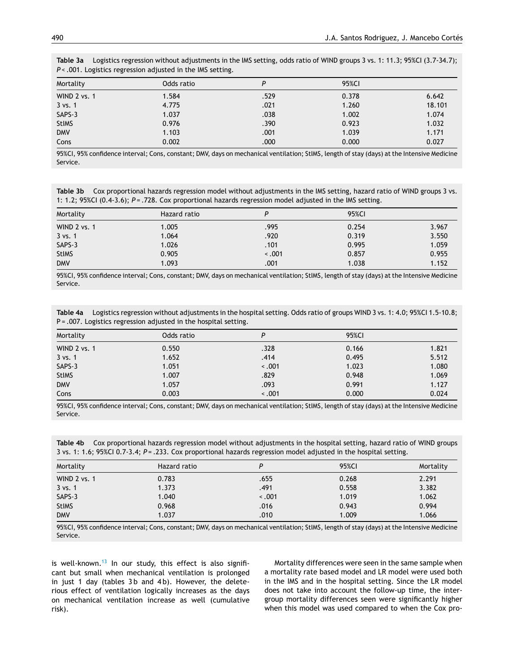| $\sim$ .001. Logistics regression adjusted in the line setting. |            |      |       |        |  |
|-----------------------------------------------------------------|------------|------|-------|--------|--|
| Mortality                                                       | Odds ratio | P    | 95%CI |        |  |
| WIND 2 vs. 1                                                    | 1.584      | .529 | 0.378 | 6.642  |  |
| $3$ vs. 1                                                       | 4.775      | .021 | 1.260 | 18.101 |  |
| SAPS-3                                                          | 1.037      | .038 | 1.002 | 1.074  |  |
| <b>StIMS</b>                                                    | 0.976      | .390 | 0.923 | 1.032  |  |
| <b>DMV</b>                                                      | 1.103      | .001 | 1.039 | 1.171  |  |
| Cons                                                            | 0.002      | .000 | 0.000 | 0.027  |  |

<span id="page-5-0"></span>**Table 3a** Logistics regression without adjustments in the IMS setting, odds ratio of WIND groups 3 vs. 1: 11.3; 95%CI (3.7-34.7); *P* < 001. Logistics regression adjusted in the IMS setting.

95%CI, 95% confidence interval; Cons, constant; DMV, days on mechanical ventilation; StIMS, length of stay (days) at the Intensive Medicine Service.

**Table 3b** Cox proportional hazards regression model without adjustments in the IMS setting, hazard ratio of WIND groups 3 vs. 1: 1.2; 95%CI (0.4-3.6); *P* = .728. Cox proportional hazards regression model adjusted in the IMS setting.

| Mortality          | Hazard ratio |       | 95%CI |       |
|--------------------|--------------|-------|-------|-------|
| WIND 2 vs. 1       | 1.005        | .995  | 0.254 | 3.967 |
| $3 \text{ vs. } 1$ | 1.064        | .920  | 0.319 | 3.550 |
| SAPS-3             | 1.026        | .101  | 0.995 | 1.059 |
| <b>StIMS</b>       | 0.905        | 3.001 | 0.857 | 0.955 |
| <b>DMV</b>         | 1.093        | .001  | 1.038 | 1.152 |

95%CI, 95% confidence interval; Cons, constant; DMV, days on mechanical ventilation; StIMS, length of stay (days) at the Intensive Medicine Service.

| Table 4a Logistics regression without adjustments in the hospital setting. Odds ratio of groups WIND 3 vs. 1: 4.0; 95%CI 1.5-10.8; |
|------------------------------------------------------------------------------------------------------------------------------------|
| $P = .007$ . Logistics regression adjusted in the hospital setting.                                                                |

| Mortality    | Odds ratio | P     | 95%CI |       |
|--------------|------------|-------|-------|-------|
| WIND 2 vs. 1 | 0.550      | .328  | 0.166 | 1.821 |
| $3$ vs. 1    | 1.652      | .414  | 0.495 | 5.512 |
| SAPS-3       | 1.051      | 3.001 | 1.023 | 1.080 |
| <b>StIMS</b> | 1.007      | .829  | 0.948 | 1.069 |
| <b>DMV</b>   | 1.057      | .093  | 0.991 | 1.127 |
| Cons         | 0.003      | 3.001 | 0.000 | 0.024 |

95%CI, 95% confidence interval; Cons, constant; DMV, days on mechanical ventilation; StIMS, length of stay (days) at the Intensive Medicine Service.

**Table 4b** Cox proportional hazards regression model without adjustments in the hospital setting, hazard ratio of WIND groups 3 vs. 1: 1.6; 95%CI 0.7-3.4; *P* = .233. Cox proportional hazards regression model adjusted in the hospital setting.

| Mortality    | Hazard ratio |       | 95%CI | Mortality |
|--------------|--------------|-------|-------|-----------|
| WIND 2 vs. 1 | 0.783        | .655  | 0.268 | 2.291     |
| 3 vs. 1      | 1.373        | .491  | 0.558 | 3.382     |
| SAPS-3       | 1.040        | 3.001 | 1.019 | 1.062     |
| <b>StIMS</b> | 0.968        | .016  | 0.943 | 0.994     |
| <b>DMV</b>   | 1.037        | .010  | 1.009 | 1.066     |

95%CI, 95% confidence interval; Cons, constant; DMV, days on mechanical ventilation; StIMS, length of stay (days) at the Intensive Medicine Service.

is well-known.<sup>[13](#page-7-0)</sup> In our study, this effect is also significant but small when mechanical ventilation is prolonged in just 1 day (tables 3b and 4b). However, the deleterious effect of ventilation logically increases as the days on mechanical ventilation increase as well (cumulative risk).

Mortality differences were seen in the same sample when a mortality rate based model and LR model were used both in the IMS and in the hospital setting. Since the LR model does not take into account the follow-up time, the intergroup mortality differences seen were significantly higher when this model was used compared to when the Cox pro-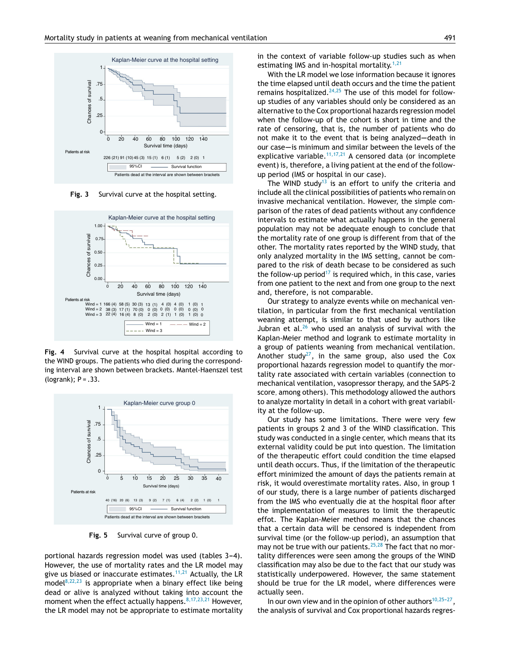

**Fig. 3** Survival curve at the hospital setting.



**Fig. 4** Survival curve at the hospital hospital according to the WIND groups. The patients who died during the corresponding interval are shown between brackets. Mantel-Haenszel test (logrank);  $P = .33$ .



**Fig. 5** Survival curve of group 0.

portional hazards regression model was used (tables 3-4). However, the use of mortality rates and the LR model may give us biased or inaccurate estimates.<sup>[11,21](#page-7-0)</sup> Actually, the LR model $8,22,23$  is appropriate when a binary effect like being dead or alive is analyzed without taking into account the moment when the effect actually happens.  $8,17,23,21$  However, the LR model may not be appropriate to estimate mortality in the context of variable follow-up studies such as when estimating IMS and in-hospital mortality.<sup>[1,21](#page-7-0)</sup>

With the LR model we lose information because it ignores the time elapsed until death occurs and the time the patient remains hospitalized.<sup>[24,25](#page-7-0)</sup> The use of this model for followup studies of any variables should only be considered as an alternative to the Cox proportional hazards regression model when the follow-up of the cohort is short in time and the rate of censoring, that is, the number of patients who do not make it to the event that is being analyzed-death in our case-is minimum and similar between the levels of the explicative variable.<sup>[11,17,21](#page-7-0)</sup> A censored data (or incomplete event) is, therefore, a living patient at the end of the followup period (IMS or hospital in our case).

The WIND study<sup>[13](#page-7-0)</sup> is an effort to unify the criteria and include all the clinical possibilities of patients who remain on invasive mechanical ventilation. However, the simple comparison of the rates of dead patients without any confidence intervals to estimate what actually happens in the general population may not be adequate enough to conclude that the mortality rate of one group is different from that of the other. The mortality rates reported by the WIND study, that only analyzed mortality in the IMS setting, cannot be compared to the risk of death becase to be considered as such the follow-up period<sup>[17](#page-7-0)</sup> is required which, in this case, varies from one patient to the next and from one group to the next and, therefore, is not comparable.

Our strategy to analyze events while on mechanical ventilation, in particular from the first mechanical ventilation weaning attempt, is similar to that used by authors like Jubran et al. $^{26}$  $^{26}$  $^{26}$  who used an analysis of survival with the Kaplan-Meier method and logrank to estimate mortality in a group of patients weaning from mechanical ventilation. Another study<sup>[27](#page-7-0)</sup>, in the same group, also used the Cox proportional hazards regression model to quantify the mortality rate associated with certain variables (connection to mechanical ventilation, vasopressor therapy, and the SAPS-2 score, among others). This methodology allowed the authors to analyze mortality in detail in a cohort with great variability at the follow-up.

Our study has some limitations. There were very few patients in groups 2 and 3 of the WIND classification. This study was conducted in a single center, which means that its external validity could be put into question. The limitation of the therapeutic effort could condition the time elapsed until death occurs. Thus, if the limitation of the therapeutic effort minimized the amount of days the patients remain at risk, it would overestimate mortality rates. Also, in group 1 of our study, there is a large number of patients discharged from the IMS who eventually die at the hospital floor after the implementation of measures to limit the therapeutic effot. The Kaplan-Meier method means that the chances that a certain data will be censored is independent from survival time (or the follow-up period), an assumption that may not be true with our patients.<sup>[25,28](#page-7-0)</sup> The fact that no mortality differences were seen among the groups of the WIND classification may also be due to the fact that our study was statistically underpowered. However, the same statement should be true for the LR model, where differences were actually seen.

In our own view and in the opinion of other authors $10,25-27$ , the analysis of survival and Cox proportional hazards regres